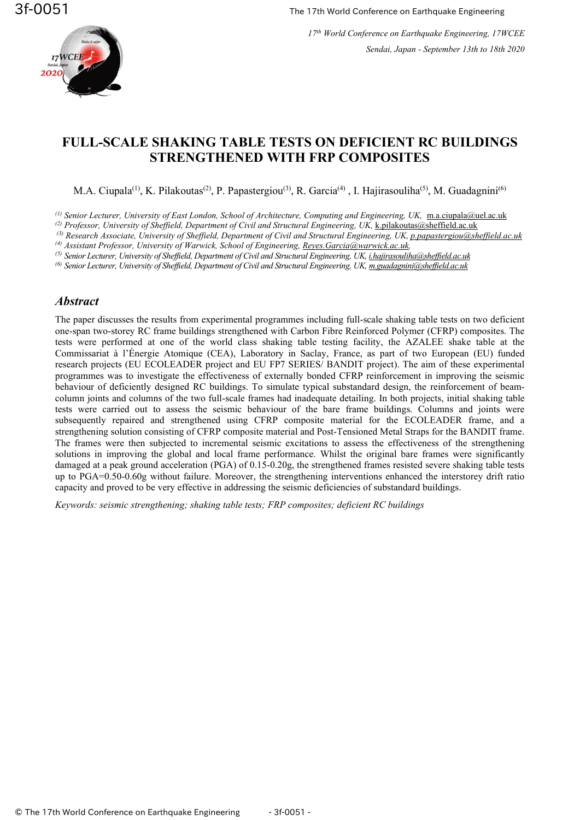

# **FULL-SCALE SHAKING TABLE TESTS ON DEFICIENT RC BUILDINGS STRENGTHENED WITH FRP COMPOSITES**

M.A. Ciupala<sup>(1)</sup>, K. Pilakoutas<sup>(2)</sup>, P. Papastergiou<sup>(3)</sup>, R. Garcia<sup>(4)</sup>, I. Hajirasouliha<sup>(5)</sup>, M. Guadagnini<sup>(6)</sup>

<sup>(1)</sup> Senior Lecturer, University of East London, School of Architecture, Computing and Engineering, UK, [m.a.ciupala@uel.ac.uk](mailto:m.a.ciupala@uel.ac.uk)

*(2) Professor, University of Sheffield, Department of Civil and Structural Engineering, UK,* [k.pilakoutas@sheffield.ac.uk](mailto:k.pilakoutas@sheffield.ac.uk)

*(3) Research Associate, University of Sheffield, Department of Civil and Structural Engineering, UK, [p.papastergiou@sheffield.ac.uk](mailto:p.papastergiou@sheffield.ac.uk)*

*(4) Assistant Professor, University of Warwick, School of Engineering[, Reyes.Garcia@warwick.ac.uk,](mailto:Reyes.Garcia@warwick.ac.uk)*

*(5) Senior Lecturer, University of Sheffield, Department of Civil and Structural Engineering, UK[, i.hajirasouliha@sheffield.ac.uk](mailto:i.hajirasouliha@sheffield.ac.uk)*

*(6) Senior Lecturer, University of Sheffield, Department of Civil and Structural Engineering, UK[, m.guadagnini@sheffield.ac.uk](mailto:m.guadagnini@sheffield.ac.uk)*

### *Abstract*

The paper discusses the results from experimental programmes including full-scale shaking table tests on two deficient one-span two-storey RC frame buildings strengthened with Carbon Fibre Reinforced Polymer (CFRP) composites. The tests were performed at one of the world class shaking table testing facility, the AZALEE shake table at the Commissariat à l'Énergie Atomique (CEA), Laboratory in Saclay, France, as part of two European (EU) funded research projects (EU ECOLEADER project and EU FP7 SERIES/ BANDIT project). The aim of these experimental programmes was to investigate the effectiveness of externally bonded CFRP reinforcement in improving the seismic behaviour of deficiently designed RC buildings. To simulate typical substandard design, the reinforcement of beamcolumn joints and columns of the two full-scale frames had inadequate detailing. In both projects, initial shaking table tests were carried out to assess the seismic behaviour of the bare frame buildings. Columns and joints were subsequently repaired and strengthened using CFRP composite material for the ECOLEADER frame, and a strengthening solution consisting of CFRP composite material and Post-Tensioned Metal Straps for the BANDIT frame. The frames were then subjected to incremental seismic excitations to assess the effectiveness of the strengthening solutions in improving the global and local frame performance. Whilst the original bare frames were significantly damaged at a peak ground acceleration (PGA) of 0.15-0.20g, the strengthened frames resisted severe shaking table tests up to PGA=0.50-0.60g without failure. Moreover, the strengthening interventions enhanced the interstorey drift ratio capacity and proved to be very effective in addressing the seismic deficiencies of substandard buildings.

*Keywords: [seismic strengthening;](https://www.tandfonline.com/keyword/Seismic+Strengthening) shaking [table tests;](https://www.tandfonline.com/keyword/Shaking+Table+Tests) FRP composites; deficient RC [buildings](https://www.tandfonline.com/keyword/Substandard+RC+Buildings)*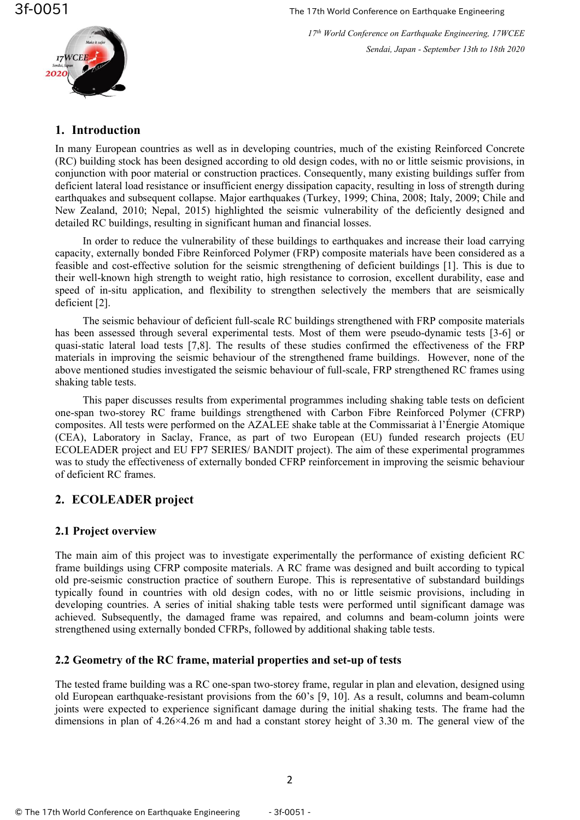

*17 th World Conference on Earthquake Engineering, 17WCEE Sendai, Japan - September 13th to 18th 2020*

## **1. Introduction**

In many European countries as well as in developing countries, much of the existing Reinforced Concrete (RC) building stock has been designed according to old design codes, with no or little seismic provisions, in conjunction with poor material or construction practices. Consequently, many existing buildings suffer from deficient lateral load resistance or insufficient energy dissipation capacity, resulting in loss of strength during earthquakes and subsequent collapse. Major earthquakes (Turkey, 1999; China, 2008; Italy, 2009; Chile and New Zealand, 2010; Nepal, 2015) highlighted the seismic vulnerability of the deficiently designed and detailed RC buildings, resulting in significant human and financial losses.

In order to reduce the vulnerability of these buildings to earthquakes and increase their load carrying capacity, externally bonded Fibre Reinforced Polymer (FRP) composite materials have been considered as a feasible and cost-effective solution for the seismic strengthening of deficient buildings [1]. This is due to their well-known high strength to weight ratio, high resistance to corrosion, excellent durability, ease and speed of in-situ application, and flexibility to strengthen selectively the members that are seismically deficient [2].

The seismic behaviour of deficient full-scale RC buildings strengthened with FRP composite materials has been assessed through several experimental tests. Most of them were pseudo-dynamic tests [3-6] or quasi-static lateral load tests [7,8]. The results of these studies confirmed the effectiveness of the FRP materials in improving the seismic behaviour of the strengthened frame buildings. However, none of the above mentioned studies investigated the seismic behaviour of full-scale, FRP strengthened RC frames using shaking table tests.

This paper discusses results from experimental programmes including shaking table tests on deficient one-span two-storey RC frame buildings strengthened with Carbon Fibre Reinforced Polymer (CFRP) composites. All tests were performed on the AZALEE shake table at the Commissariat à l'Énergie Atomique (CEA), Laboratory in Saclay, France, as part of two European (EU) funded research projects (EU ECOLEADER project and EU FP7 SERIES/ BANDIT project). The aim of these experimental programmes was to study the effectiveness of externally bonded CFRP reinforcement in improving the seismic behaviour of deficient RC frames.

# **2. ECOLEADER project**

# **2.1 Project overview**

The main aim of this project was to investigate experimentally the performance of existing deficient RC frame buildings using CFRP composite materials. A RC frame was designed and built according to typical old pre-seismic construction practice of southern Europe. This is representative of substandard buildings typically found in countries with old design codes, with no or little seismic provisions, including in developing countries. A series of initial shaking table tests were performed until significant damage was achieved. Subsequently, the damaged frame was repaired, and columns and beam-column joints were strengthened using externally bonded CFRPs, followed by additional shaking table tests.

# **2.2 Geometry of the RC frame, material properties and set-up of tests**

The tested frame building was a RC one-span two-storey frame, regular in plan and elevation, designed using old European earthquake-resistant provisions from the 60's [9, 10]. As a result, columns and beam-column joints were expected to experience significant damage during the initial shaking tests. The frame had the dimensions in plan of 4.26×4.26 m and had a constant storey height of 3.30 m. The general view of the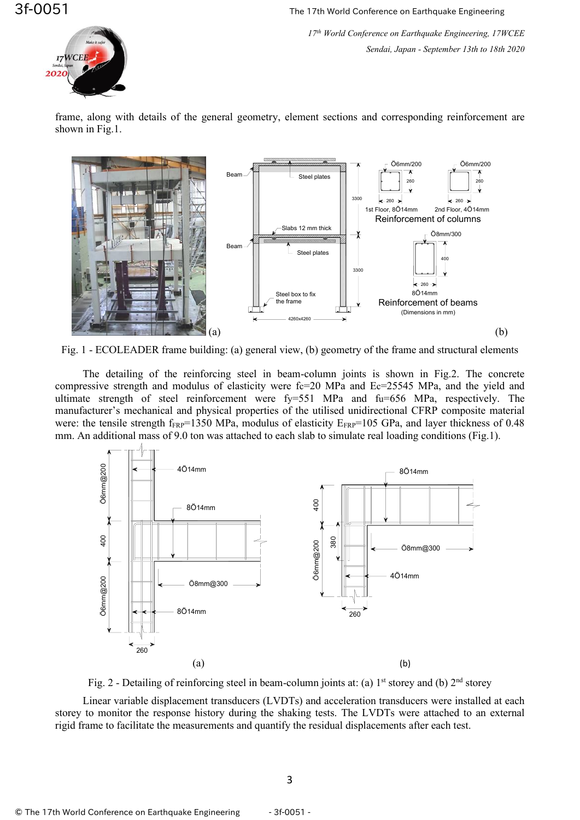

*17 th World Conference on Earthquake Engineering, 17WCEE Sendai, Japan - September 13th to 18th 2020*

frame, along with details of the general geometry, element sections and corresponding reinforcement are shown in Fig.1.



Fig. 1 - ECOLEADER frame building: (a) general view, (b) geometry of the frame and structural elements

The detailing of the reinforcing steel in beam-column joints is shown in Fig.2. The concrete compressive strength and modulus of elasticity were  $fc=20$  MPa and  $Ec=25545$  MPa, and the yield and ultimate strength of steel reinforcement were fy=551 MPa and fu=656 MPa, respectively. The manufacturer's mechanical and physical properties of the utilised unidirectional CFRP composite material were: the tensile strength  $f_{FRP}=1350$  MPa, modulus of elasticity  $E_{FRP}=105$  GPa, and layer thickness of 0.48 mm. An additional mass of 9.0 ton was attached to each slab to simulate real loading conditions (Fig.1).



Fig. 2 - Detailing of reinforcing steel in beam-column joints at: (a)  $1<sup>st</sup>$  storey and (b)  $2<sup>nd</sup>$  storey

Linear variable displacement transducers (LVDTs) and acceleration transducers were installed at each storey to monitor the response history during the shaking tests. The LVDTs were attached to an external rigid frame to facilitate the measurements and quantify the residual displacements after each test.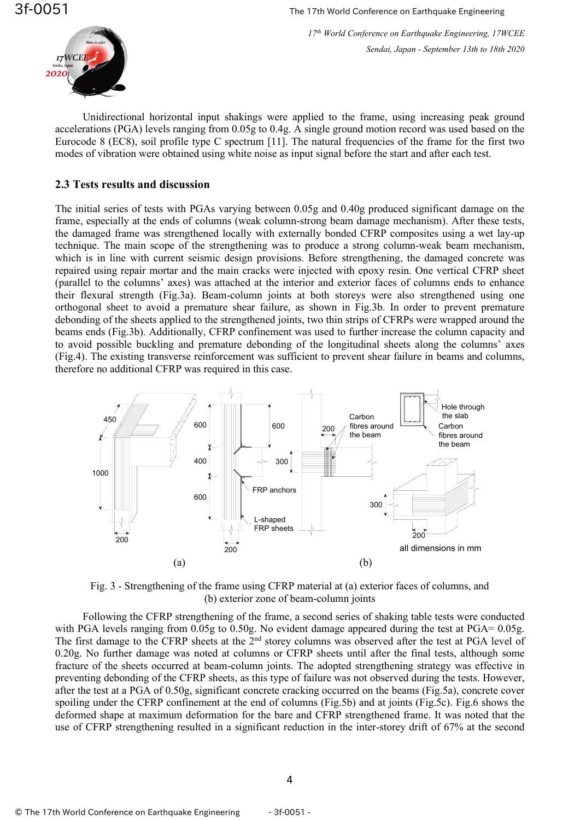

Unidirectional horizontal input shakings were applied to the frame, using increasing peak ground accelerations (PGA) levels ranging from 0.05g to 0.4g. A single ground motion record was used based on the Eurocode 8 (EC8), soil profile type C spectrum [11]. The natural frequencies of the frame for the first two modes of vibration were obtained using white noise as input signal before the start and after each test.

### **2.3 Tests results and discussion**

The initial series of tests with PGAs varying between 0.05g and 0.40g produced significant damage on the frame, especially at the ends of columns (weak column-strong beam damage mechanism). After these tests, the damaged frame was strengthened locally with externally bonded CFRP composites using a wet lay-up technique. The main scope of the strengthening was to produce a strong column-weak beam mechanism, which is in line with current seismic design provisions. Before strengthening, the damaged concrete was repaired using repair mortar and the main cracks were injected with epoxy resin. One vertical CFRP sheet (parallel to the columns' axes) was attached at the interior and exterior faces of columns ends to enhance their flexural strength (Fig.3a). Beam-column joints at both storeys were also strengthened using one orthogonal sheet to avoid a premature shear failure, as shown in Fig.3b. In order to prevent premature debonding of the sheets applied to the strengthened joints, two thin strips of CFRPs were wrapped around the beams ends (Fig.3b). Additionally, CFRP confinement was used to further increase the column capacity and to avoid possible buckling and premature debonding of the longitudinal sheets along the columns' axes (Fig.4). The existing transverse reinforcement was sufficient to prevent shear failure in beams and columns, therefore no additional CFRP was required in this case.



Fig. 3 - Strengthening of the frame using CFRP material at (a) exterior faces of columns, and (b) exterior zone of beam-column joints

Following the CFRP strengthening of the frame, a second series of shaking table tests were conducted with PGA levels ranging from 0.05g to 0.50g. No evident damage appeared during the test at PGA= 0.05g. The first damage to the CFRP sheets at the 2<sup>nd</sup> storey columns was observed after the test at PGA level of 0.20g. No further damage was noted at columns or CFRP sheets until after the final tests, although some fracture of the sheets occurred at beam-column joints. The adopted strengthening strategy was effective in preventing debonding of the CFRP sheets, as this type of failure was not observed during the tests. However, after the test at a PGA of 0.50g, significant concrete cracking occurred on the beams (Fig.5a), concrete cover spoiling under the CFRP confinement at the end of columns (Fig.5b) and at joints (Fig.5c). Fig.6 shows the deformed shape at maximum deformation for the bare and CFRP strengthened frame. It was noted that the use of CFRP strengthening resulted in a significant reduction in the inter-storey drift of 67% at the second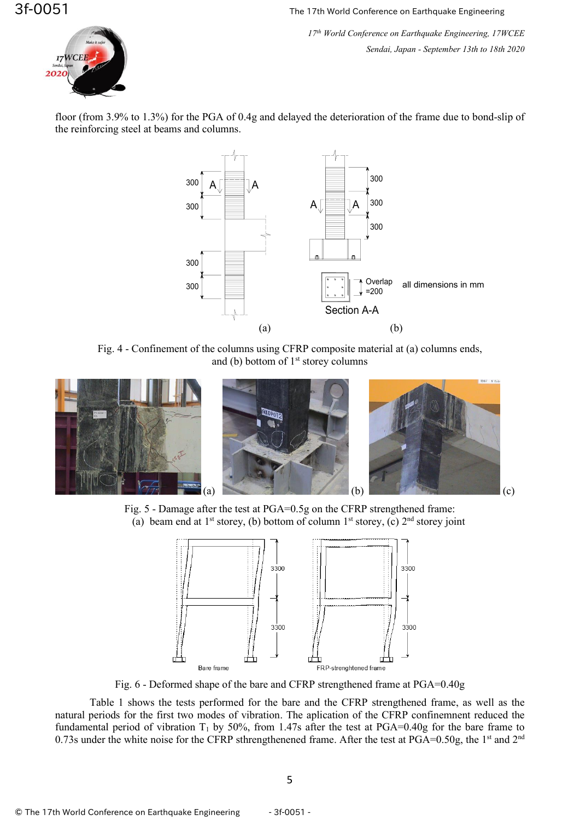*17 th World Conference on Earthquake Engineering, 17WCEE Sendai, Japan - September 13th to 18th 2020*



floor (from 3.9% to 1.3%) for the PGA of 0.4g and delayed the deterioration of the frame due to bond-slip of the reinforcing steel at beams and columns.



Fig. 4 - Confinement of the columns using CFRP composite material at (a) columns ends, and (b) bottom of  $1<sup>st</sup>$  storey columns







Fig. 6 - Deformed shape of the bare and CFRP strengthened frame at PGA=0.40g

Table 1 shows the tests performed for the bare and the CFRP strengthened frame, as well as the natural periods for the first two modes of vibration. The aplication of the CFRP confinemnent reduced the fundamental period of vibration  $T_1$  by 50%, from 1.47s after the test at PGA=0.40g for the bare frame to 0.73s under the white noise for the CFRP sthrengthenened frame. After the test at PGA=0.50g, the 1<sup>st</sup> and 2<sup>nd</sup>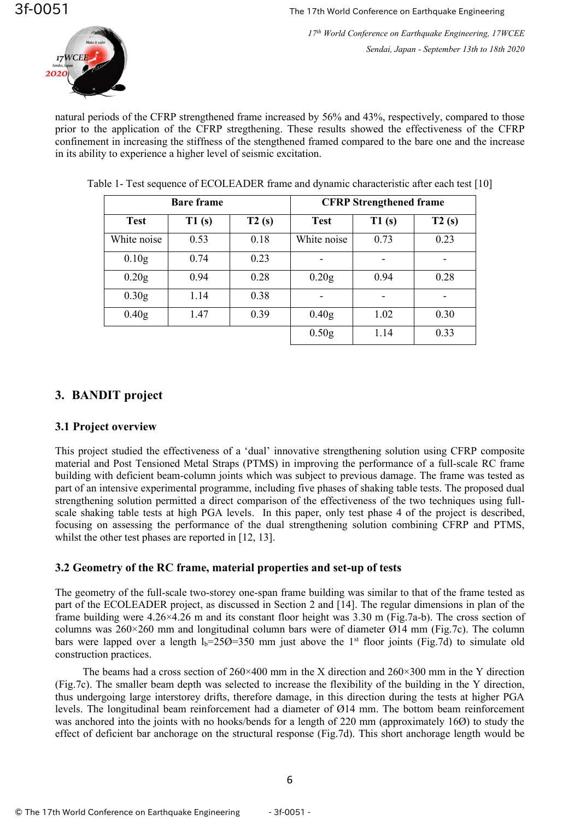

natural periods of the CFRP strengthened frame increased by 56% and 43%, respectively, compared to those prior to the application of the CFRP stregthening. These results showed the effectiveness of the CFRP confinement in increasing the stiffness of the stengthened framed compared to the bare one and the increase in its ability to experience a higher level of seismic excitation.

|                   | <b>Bare frame</b> |       | <b>CFRP</b> Strengthened frame |       |       |  |
|-------------------|-------------------|-------|--------------------------------|-------|-------|--|
| <b>Test</b>       | T1(s)             | T2(s) | <b>Test</b>                    | T1(s) | T2(s) |  |
| White noise       | 0.53              | 0.18  | White noise                    | 0.73  | 0.23  |  |
| 0.10 <sub>g</sub> | 0.74              | 0.23  |                                |       |       |  |
| 0.20g             | 0.94              | 0.28  | 0.20g                          | 0.94  | 0.28  |  |
| 0.30 <sub>g</sub> | 1.14              | 0.38  |                                |       |       |  |
| 0.40 <sub>g</sub> | 1.47              | 0.39  | 0.40 <sub>g</sub>              | 1.02  | 0.30  |  |
|                   |                   |       | 0.50 <sub>g</sub>              | 1.14  | 0.33  |  |

Table 1- Test sequence of ECOLEADER frame and dynamic characteristic after each test [10]

# **3. BANDIT project**

### **3.1 Project overview**

This project studied the effectiveness of a 'dual' innovative strengthening solution using CFRP composite material and Post Tensioned Metal Straps (PTMS) in improving the performance of a full-scale RC frame building with deficient beam-column joints which was subject to previous damage. The frame was tested as part of an intensive experimental programme, including five phases of shaking table tests. The proposed dual strengthening solution permitted a direct comparison of the effectiveness of the two techniques using fullscale shaking table tests at high PGA levels. In this paper, only test phase 4 of the project is described, focusing on assessing the performance of the dual strengthening solution combining CFRP and PTMS, whilst the other test phases are reported in [12, 13].

# **3.2 Geometry of the RC frame, material properties and set-up of tests**

The geometry of the full-scale two-storey one-span frame building was similar to that of the frame tested as part of the ECOLEADER project, as discussed in Section 2 and [14]. The regular dimensions in plan of the frame building were 4.26×4.26 m and its constant floor height was 3.30 m (Fig.7a-b). The cross section of columns was 260×260 mm and longitudinal column bars were of diameter Ø14 mm (Fig.7c). The column bars were lapped over a length  $l_b = 250 = 350$  mm just above the 1<sup>st</sup> floor joints (Fig.7d) to simulate old construction practices.

The beams had a cross section of  $260 \times 400$  mm in the X direction and  $260 \times 300$  mm in the Y direction (Fig.7c). The smaller beam depth was selected to increase the flexibility of the building in the Y direction, thus undergoing large interstorey drifts, therefore damage, in this direction during the tests at higher PGA levels. The longitudinal beam reinforcement had a diameter of Ø14 mm. The bottom beam reinforcement was anchored into the joints with no hooks/bends for a length of 220 mm (approximately 16Ø) to study the effect of deficient bar anchorage on the structural response (Fig.7d). This short anchorage length would be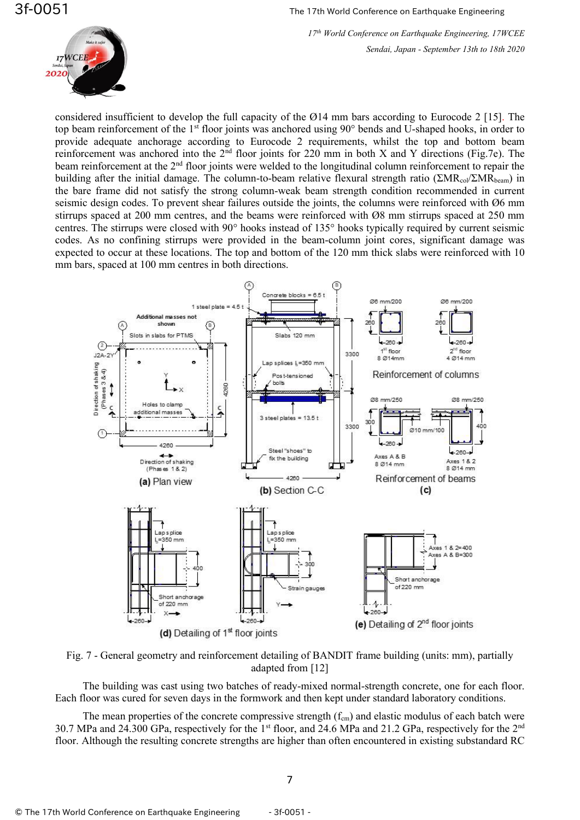

considered insufficient to develop the full capacity of the Ø14 mm bars according to Eurocode 2 [15]. The top beam reinforcement of the 1<sup>st</sup> floor joints was anchored using 90° bends and U-shaped hooks, in order to provide adequate anchorage according to Eurocode 2 requirements, whilst the top and bottom beam reinforcement was anchored into the  $2<sup>nd</sup>$  floor joints for 220 mm in both X and Y directions (Fig.7e). The beam reinforcement at the 2<sup>nd</sup> floor joints were welded to the longitudinal column reinforcement to repair the building after the initial damage. The column-to-beam relative flexural strength ratio (ΣMR<sub>col</sub>/ΣMR<sub>beam</sub>) in the bare frame did not satisfy the strong column-weak beam strength condition recommended in current seismic design codes. To prevent shear failures outside the joints, the columns were reinforced with Ø6 mm stirrups spaced at 200 mm centres, and the beams were reinforced with Ø8 mm stirrups spaced at 250 mm centres. The stirrups were closed with 90° hooks instead of 135° hooks typically required by current seismic codes. As no confining stirrups were provided in the beam-column joint cores, significant damage was expected to occur at these locations. The top and bottom of the 120 mm thick slabs were reinforced with 10 mm bars, spaced at 100 mm centres in both directions.



Fig. 7 - General geometry and reinforcement detailing of BANDIT frame building (units: mm), partially adapted from [12]

The building was cast using two batches of ready-mixed normal-strength concrete, one for each floor. Each floor was cured for seven days in the formwork and then kept under standard laboratory conditions.

The mean properties of the concrete compressive strength  $(f_{cm})$  and elastic modulus of each batch were 30.7 MPa and 24.300 GPa, respectively for the 1<sup>st</sup> floor, and 24.6 MPa and 21.2 GPa, respectively for the 2<sup>nd</sup> floor. Although the resulting concrete strengths are higher than often encountered in existing substandard RC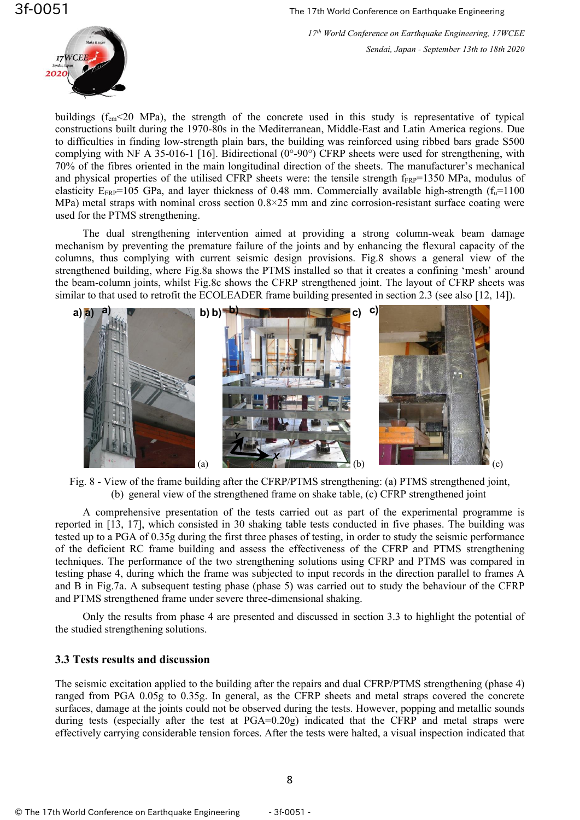

buildings  $(f_{cm} < 20$  MPa), the strength of the concrete used in this study is representative of typical constructions built during the 1970-80s in the Mediterranean, Middle-East and Latin America regions. Due to difficulties in finding low-strength plain bars, the building was reinforced using ribbed bars grade S500 complying with NF A 35-016-1 [16]. Bidirectional (0°-90°) CFRP sheets were used for strengthening, with 70% of the fibres oriented in the main longitudinal direction of the sheets. The manufacturer's mechanical and physical properties of the utilised CFRP sheets were: the tensile strength  $f_{FRP}=1350$  MPa, modulus of elasticity  $E_{FRP}$ =105 GPa, and layer thickness of 0.48 mm. Commercially available high-strength ( $f<sub>u</sub>=1100$ ) MPa) metal straps with nominal cross section 0.8×25 mm and zinc corrosion-resistant surface coating were used for the PTMS strengthening.

The dual strengthening intervention aimed at providing a strong column-weak beam damage mechanism by preventing the premature failure of the joints and by enhancing the flexural capacity of the columns, thus complying with current seismic design provisions. Fig.8 shows a general view of the strengthened building, where Fig.8a shows the PTMS installed so that it creates a confining 'mesh' around the beam-column joints, whilst Fig.8c shows the CFRP strengthened joint. The layout of CFRP sheets was similar to that used to retrofit the ECOLEADER frame building presented in section 2.3 (see also [12, 14]).



Fig. 8 - View of the frame building after the CFRP/PTMS strengthening: (a) PTMS strengthened joint, (b) general view of the strengthened frame on shake table, (c) CFRP strengthened joint

A comprehensive presentation of the tests carried out as part of the experimental programme is reported in [13, 17], which consisted in 30 shaking table tests conducted in five phases. The building was tested up to a PGA of 0.35g during the first three phases of testing, in order to study the seismic performance of the deficient RC frame building and assess the effectiveness of the CFRP and PTMS strengthening techniques. The performance of the two strengthening solutions using CFRP and PTMS was compared in testing phase 4, during which the frame was subjected to input records in the direction parallel to frames A and B in Fig.7a. A subsequent testing phase (phase 5) was carried out to study the behaviour of the CFRP and PTMS strengthened frame under severe three-dimensional shaking.

Only the results from phase 4 are presented and discussed in section 3.3 to highlight the potential of the studied strengthening solutions.

### **3.3 Tests results and discussion**

The seismic excitation applied to the building after the repairs and dual CFRP/PTMS strengthening (phase 4) ranged from PGA 0.05g to 0.35g. In general, as the CFRP sheets and metal straps covered the concrete surfaces, damage at the joints could not be observed during the tests. However, popping and metallic sounds during tests (especially after the test at PGA=0.20g) indicated that the CFRP and metal straps were effectively carrying considerable tension forces. After the tests were halted, a visual inspection indicated that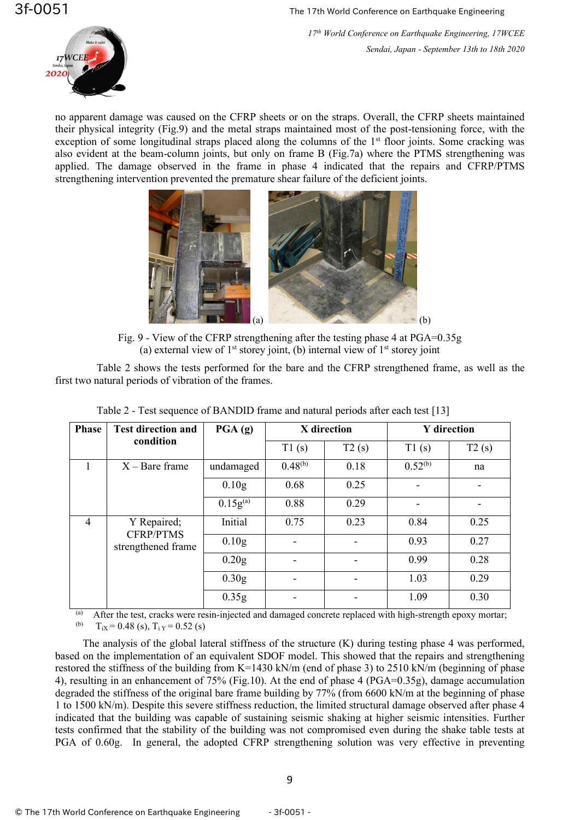

no apparent damage was caused on the CFRP sheets or on the straps. Overall, the CFRP sheets maintained their physical integrity (Fig.9) and the metal straps maintained most of the post-tensioning force, with the exception of some longitudinal straps placed along the columns of the 1<sup>st</sup> floor joints. Some cracking was also evident at the beam-column joints, but only on frame B (Fig.7a) where the PTMS strengthening was applied. The damage observed in the frame in phase 4 indicated that the repairs and CFRP/PTMS strengthening intervention prevented the premature shear failure of the deficient joints.



Fig. 9 - View of the CFRP strengthening after the testing phase 4 at PGA=0.35g (a) external view of  $1<sup>st</sup>$  storey joint, (b) internal view of  $1<sup>st</sup>$  storey joint

Table 2 shows the tests performed for the bare and the CFRP strengthened frame, as well as the first two natural periods of vibration of the frames.

| <b>Phase</b> | <b>Test direction and</b>       | $\overline{PGA}$ (g) | X direction  |       | <b>Y</b> direction |       |
|--------------|---------------------------------|----------------------|--------------|-------|--------------------|-------|
|              | condition                       |                      | T1(s)        | T2(s) | T1(s)              | T2(s) |
|              | $X -$ Bare frame                | undamaged            | $0.48^{(b)}$ | 0.18  | $0.52^{(b)}$       | na    |
|              |                                 | 0.10 <sub>g</sub>    | 0.68         | 0.25  |                    |       |
|              |                                 | $0.15g^{(a)}$        | 0.88         | 0.29  |                    |       |
| 4            | Y Repaired;<br><b>CFRP/PTMS</b> | Initial              | 0.75         | 0.23  | 0.84               | 0.25  |
|              | strengthened frame              | 0.10 <sub>g</sub>    |              |       | 0.93               | 0.27  |
|              |                                 | 0.20 <sub>g</sub>    |              |       | 0.99               | 0.28  |
|              |                                 | 0.30 <sub>g</sub>    |              |       | 1.03               | 0.29  |
|              |                                 | 0.35g                |              |       | 1.09               | 0.30  |

Table 2 - Test sequence of BANDID frame and natural periods after each test [13]

(a) After the test, cracks were resin-injected and damaged concrete replaced with high-strength epoxy mortar;<br>(b)  $T_{\text{av}} = 0.48$  (c)  $T_{\text{av}} = 0.52$  (c)  $T_{iX} = 0.48$  (s),  $T_{iY} = 0.52$  (s)

The analysis of the global lateral stiffness of the structure (K) during testing phase 4 was performed, based on the implementation of an equivalent SDOF model. This showed that the repairs and strengthening restored the stiffness of the building from K=1430 kN/m (end of phase 3) to 2510 kN/m (beginning of phase 4), resulting in an enhancement of 75% (Fig.10). At the end of phase 4 (PGA=0.35g), damage accumulation degraded the stiffness of the original bare frame building by 77% (from 6600 kN/m at the beginning of phase 1 to 1500 kN/m). Despite this severe stiffness reduction, the limited structural damage observed after phase 4 indicated that the building was capable of sustaining seismic shaking at higher seismic intensities. Further tests confirmed that the stability of the building was not compromised even during the shake table tests at PGA of 0.60g. In general, the adopted CFRP strengthening solution was very effective in preventing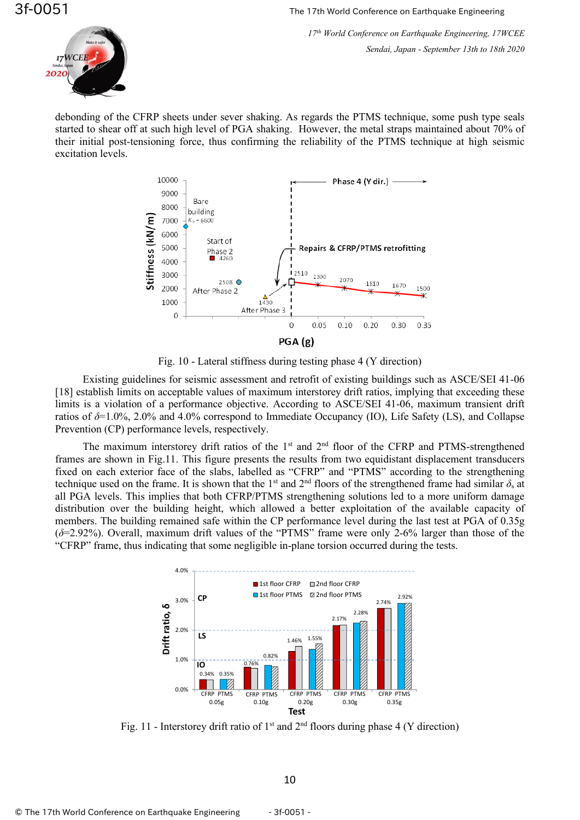*17 th World Conference on Earthquake Engineering, 17WCEE Sendai, Japan - September 13th to 18th 2020*



debonding of the CFRP sheets under sever shaking. As regards the PTMS technique, some push type seals started to shear off at such high level of PGA shaking. However, the metal straps maintained about 70% of their initial post-tensioning force, thus confirming the reliability of the PTMS technique at high seismic excitation levels.



Fig. 10 - Lateral stiffness during testing phase 4 (Y direction)

Existing guidelines for seismic assessment and retrofit of existing buildings such as ASCE/SEI 41-06 [18] establish limits on acceptable values of maximum interstorey drift ratios, implying that exceeding these limits is a violation of a performance objective. According to ASCE/SEI 41-06, maximum transient drift ratios of *δ*=1.0%, 2.0% and 4.0% correspond to Immediate Occupancy (IO), Life Safety (LS), and Collapse Prevention (CP) performance levels, respectively.

The maximum interstorey drift ratios of the  $1<sup>st</sup>$  and  $2<sup>nd</sup>$  floor of the CFRP and PTMS-strengthened frames are shown in Fig.11. This figure presents the results from two equidistant displacement transducers fixed on each exterior face of the slabs, labelled as "CFRP" and "PTMS" according to the strengthening technique used on the frame. It is shown that the 1<sup>st</sup> and  $2<sup>nd</sup>$  floors of the strengthened frame had similar  $\delta_s$  at all PGA levels. This implies that both CFRP/PTMS strengthening solutions led to a more uniform damage distribution over the building height, which allowed a better exploitation of the available capacity of members. The building remained safe within the CP performance level during the last test at PGA of 0.35g (*δ*=2.92%). Overall, maximum drift values of the "PTMS" frame were only 2-6% larger than those of the "CFRP" frame, thus indicating that some negligible in-plane torsion occurred during the tests.



Fig. 11 - Interstorey drift ratio of  $1<sup>st</sup>$  and  $2<sup>nd</sup>$  floors during phase 4 (Y direction)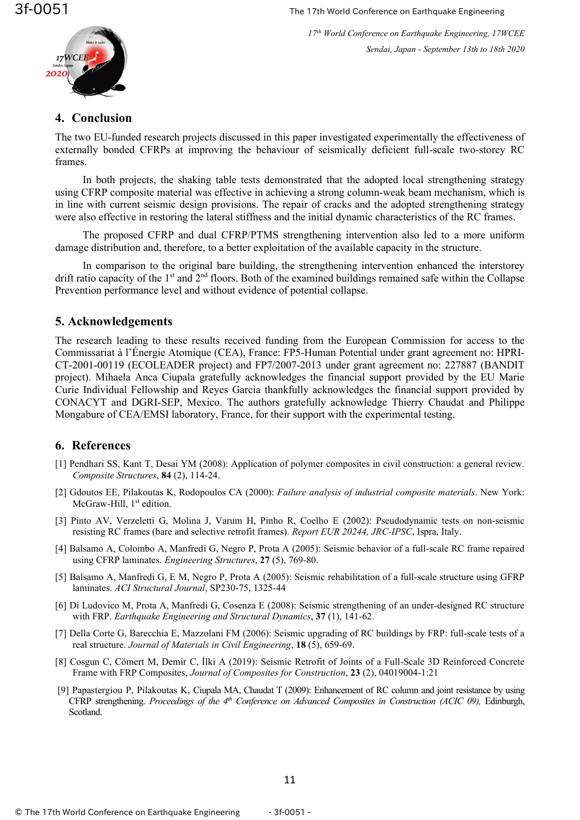

*17 th World Conference on Earthquake Engineering, 17WCEE Sendai, Japan - September 13th to 18th 2020*

# **4. Conclusion**

The two EU-funded research projects discussed in this paper investigated experimentally the effectiveness of externally bonded CFRPs at improving the behaviour of seismically deficient full-scale two-storey RC frames.

In both projects, the shaking table tests demonstrated that the adopted local strengthening strategy using CFRP composite material was effective in achieving a strong column-weak beam mechanism, which is in line with current seismic design provisions. The repair of cracks and the adopted strengthening strategy were also effective in restoring the lateral stiffness and the initial dynamic characteristics of the RC frames.

The proposed CFRP and dual CFRP/PTMS strengthening intervention also led to a more uniform damage distribution and, therefore, to a better exploitation of the available capacity in the structure.

In comparison to the original bare building, the strengthening intervention enhanced the interstorey drift ratio capacity of the  $1<sup>st</sup>$  and  $2<sup>nd</sup>$  floors. Both of the examined buildings remained safe within the Collapse Prevention performance level and without evidence of potential collapse.

# **5. Acknowledgements**

The research leading to these results received funding from the European Commission for access to the Commissariat à l'Énergie Atomique (CEA), France: FP5-Human Potential under grant agreement no: HPRI-CT-2001-00119 (ECOLEADER project) and FP7/2007-2013 under grant agreement no: 227887 (BANDIT project). Mihaela Anca Ciupala gratefully acknowledges the financial support provided by the EU Marie Curie Individual Fellowship and Reyes Garcia thankfully acknowledges the financial support provided by CONACYT and DGRI-SEP, Mexico. The authors gratefully acknowledge Thierry Chaudat and Philippe Mongabure of CEA/EMSI laboratory, France, for their support with the experimental testing.

# **6. References**

- [1] Pendhari SS, Kant T, Desai YM (2008): Application of polymer composites in civil construction: a general review. *Composite Structures*, **84** (2), 114-24.
- [2] Gdoutos EE, Pilakoutas K, Rodopoulos CA (2000): *Failure analysis of industrial composite materials*. New York: McGraw-Hill, 1<sup>st</sup> edition.
- [3] Pinto AV, Verzeletti G, Molina J, Varum H, Pinho R, Coelho E (2002): Pseudodynamic tests on non-seismic resisting RC frames (bare and selective retrofit frames). *Report EUR 20244, JRC-IPSC*, Ispra, Italy.
- [4] Balsamo A, Colombo A, Manfredi G, Negro P, Prota A (2005): Seismic behavior of a full-scale RC frame repaired using CFRP laminates. *Engineering Structures*, **27** (5), 769-80.
- [5] Balsamo A, Manfredi G, E M, Negro P, Prota A (2005): Seismic rehabilitation of a full-scale structure using GFRP laminates. *ACI Structural Journal*, SP230-75, 1325-44
- [6] Di Ludovico M, Prota A, Manfredi G, Cosenza E (2008): Seismic strengthening of an under-designed RC structure with FRP. *Earthquake Engineering and Structural Dynamics*, **37** (1), 141-62.
- [7] Della Corte G, Barecchia E, Mazzolani FM (2006): Seismic upgrading of RC buildings by FRP: full-scale tests of a real structure. *Journal of Materials in Civil Engineering*, **18** (5), 659-69.
- [8] Cosgun C, [Cömert](https://ascelibrary.org/author/C%C3%B6mert%2C+Mustafa) M, Demir C, [İlki](https://ascelibrary.org/author/%C4%B0lki%2C+Alper) A (2019): Seismic Retrofit of Joints of a Full-Scale 3D Reinforced Concrete Frame with FRP Composites, *[Journal of Composites for Construction](https://ascelibrary.org/journal/jccof2)*, **23** (2), 04019004-1:21
- [9] Papastergiou P, Pilakoutas K, Ciupala MA, Chaudat T (2009): Enhancement of RC column and joint resistance by using CFRP strengthening. *Proceedings of the 4th Conference on Advanced Composites in Construction (ACIC 09),* Edinburgh, Scotland.